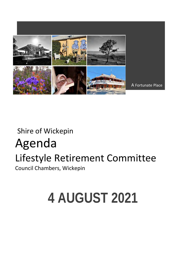

# Shire of Wickepin Agenda Lifestyle Retirement Committee Council Chambers, Wickepin

# **4 AUGUST 2021**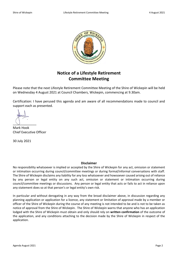

# **Notice of a Lifestyle Retirement Committee Meeting**

Please note that the next Lifestyle Retirement Committee Meeting of the Shire of Wickepin will be held on Wednesday 4 August 2021 at Council Chambers, Wickepin, commencing at 9.30am.

Certification: I have perused this agenda and am aware of all recommendations made to council and support each as presented.

 $\cup$ 

Mark Hook Chief Executive Officer

30 July 2021

#### **Disclaimer**

No responsibility whatsoever is implied or accepted by the Shire of Wickepin for any act, omission or statement or intimation occurring during council/committee meetings or during formal/informal conversations with staff. The Shire of Wickepin disclaims any liability for any loss whatsoever and howsoever caused arising out of reliance by any person or legal entity on any such act, omission or statement or intimation occurring during council/committee meetings or discussions. Any person or legal entity that acts or fails to act in reliance upon any statement does so at that person's or legal entity's own risk.

In particular and without derogating in any way from the broad disclaimer above, in discussion regarding any planning application or application for a licence, any statement or limitation of approval made by a member or officer of the Shire of Wickepin during the course of any meeting is not intended to be and is not to be taken as notice of approval from the Shire of Wickepin. The Shire of Wickepin warns that anyone who has an application lodged with the Shire of Wickepin must obtain and only should rely on **written confirmation** of the outcome of the application, and any conditions attaching to the decision made by the Shire of Wickepin in respect of the application.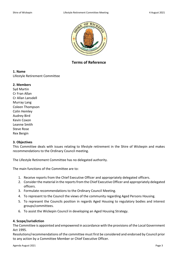

**Terms of Reference**

## **1. Name**

Lifestyle Retirement Committee

## **2. Members**

Syd Martin Cr Fran Allan Cr Allan Lansdell Murray Lang Coleen Thompson Colin Hemley Audrey Bird Kevin Coxon Leanne Smith Steve Rose Rex Bergin

#### **3. Objectives**

This Committee deals with issues relating to lifestyle retirement in the Shire of Wickepin and makes recommendations to the Ordinary Council meeting.

The Lifestyle Retirement Committee has no delegated authority.

The main functions of the Committee are to:

- 1. Receive reports from the Chief Executive Officer and appropriately delegated officers.
- 2. Consider the material in the reports from the Chief Executive Officer and appropriately delegated officers.
- 3. Formulate recommendations to the Ordinary Council Meeting.
- 4. To represent to the Council the views of the community regarding Aged Persons Housing.
- 5. To represent the Councils position in regards Aged Housing to regulatory bodies and interest groups/committees.
- 6. To assist the Wickepin Council in developing an Aged Housing Strategy.

# **4. Scope/Jurisdiction**

The Committee is appointed and empowered in accordance with the provisions of the Local Government Act 1995.

Resolutions/recommendations of the committee must first be considered and endorsed by Council prior to any action by a Committee Member or Chief Executive Officer.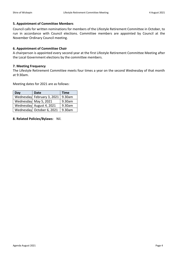# **5. Appointment of Committee Members**

Council calls for written nominations for members of the Lifestyle Retirement Committee in October, to run in accordance with Council elections. Committee members are appointed by Council at the November Ordinary Council meeting.

# **6. Appointment of Committee Chair**

A chairperson is appointed every second year at the first Lifestyle Retirement Committee Meeting after the Local Government elections by the committee members.

## **7. Meeting Frequency**

The Lifestyle Retirement Committee meets four times a year on the second Wednesday of that month at 9:30am.

Meeting dates for 2021 are as follows:

| Day | <b>Date</b>                | <b>Time</b> |
|-----|----------------------------|-------------|
|     | Wednesday February 3, 2021 | 9.30am      |
|     | Wednesday May 5, 2021      | 9.30am      |
|     | Wednesday August 4, 2021   | 9.30am      |
|     | Wednesday October 6, 2021  | 9.30am      |

**8. Related Policies/Bylaws:** Nil.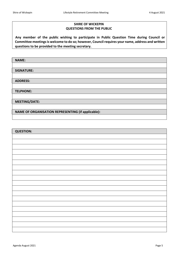# **SHIRE OF WICKEPIN QUESTIONS FROM THE PUBLIC**

 **Any member of the public wishing to participate in Public Question Time during Council or Committee meetings is welcome to do so; however, Council requires your name, address and written questions to be provided to the meeting secretary.**

| <b>NAME:</b>                                       |
|----------------------------------------------------|
|                                                    |
| <b>SIGNATURE:</b>                                  |
|                                                    |
| <b>ADDRESS:</b>                                    |
|                                                    |
| <b>TELPHONE:</b>                                   |
|                                                    |
| <b>MEETING/DATE:</b>                               |
|                                                    |
| NAME OF ORGANISATION REPRESENTING (if applicable): |
|                                                    |

| <b>QUESTION:</b> |
|------------------|
|                  |
|                  |
|                  |
|                  |
|                  |
|                  |
|                  |
|                  |
|                  |
|                  |
|                  |
|                  |
|                  |
|                  |
|                  |
|                  |
|                  |
|                  |
|                  |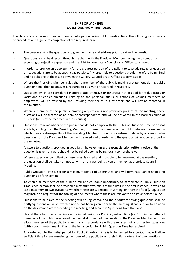# **SHIRE OF WICKEPIN QUESTIONS FROM THE PUBLIC**

The Shire of Wickepin welcomes community participation during public question time. The following is a summary of procedure and a guide to completion of the required form.

- a. The person asking the question is to give their name and address prior to asking the question.
- b. Questions are to be directed through the chair, with the Presiding Member having the discretion of accepting or rejecting a question and the right to nominate a Councillor or Officer to answer.
- c. In order to provide an opportunity for the greatest portion of the gallery to take advantage of question time, questions are to be as succinct as possible. Any preamble to questions should therefore be minimal and no debating of the issue between the Gallery, Councillors or Officers is permissible.
- d. Where the Presiding Member rules that a member of the public is making a statement during public question time, then no answer is required to be given or recorded in response.
- e. Questions which are considered inappropriate; offensive or otherwise not in good faith; duplicates or variations of earlier questions; relating to the personal affairs or actions of Council members or employees; will be refused by the Presiding Member as 'out of order' and will not be recorded in the minutes.
- f. Where a member of the public submitting a question is not physically present at the meeting, those questions will be treated as an item of correspondence and will be answered in the normal course of business (and not be recorded in the minutes).
- g. Questions from members of the public that do not comply with the Rules of Question Time or do not abide by a ruling from the Presiding Member, or where the member of the public behaves in a manner in which they are disrespectful of the Presiding Member or Council, or refuse to abide by any reasonable direction from the Presiding Member, will be ruled 'out of order' and the question will not be recorded in the minutes.
- h. Answers to questions provided in good faith, however, unless reasonable prior written notice of the question is given, answers should not be relied upon as being totally comprehensive.
- i. Where a question (compliant to these rules) is raised and is unable to be answered at the meeting, the question shall be 'taken on notice' with an answer being given at the next appropriate Council Meeting.
- j. Public Question Time is set for a maximum period of 15 minutes, and will terminate earlier should no questions be forthcoming.
- k. To enable all members of the public a fair and equitable opportunity to participate in Public Question Time, each person shall be provided a maximum two minutes time limit in the first instance, in which to ask a maximum of two questions (whether these are submitted 'in writing' or 'from the floor'). A question may include a request for the tabling of documents where these are relevant to an issue before Council.
- l. Questions to be asked at the meeting will be registered, and the priority for asking questions shall be firstly 'questions on which written notice has been given prior to the meeting' (that is, prior to 12 noon on the day immediately preceding the meeting) and secondly, 'questions from the floor'.
- m. Should there be time remaining on the initial period for Public Question Time (i.e. 15 minutes) after all members of the public have posed their initial allotment of two questions, the Presiding Member will then allow members of the public to sequentially (in accordance with the register) ask a further two questions (with a two minute time limit) until the initial period for Public Question Time has expired.
- n. Any extension to the initial period for Public Question Time is to be limited to a period that will allow sufficient time for any remaining members of the public to ask their initial allotment of two questions.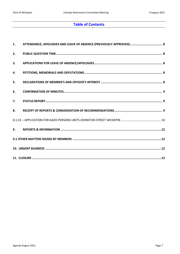# **Table of Contents**

| 1. | ATTENDANCE, APOLOGIES AND LEAVE OF ABSENCE (PREVIOUSLY APPROVED) 8 |
|----|--------------------------------------------------------------------|
| 2. |                                                                    |
| 3. |                                                                    |
| 4. |                                                                    |
| 5. |                                                                    |
| 6. |                                                                    |
| 7. |                                                                    |
| 8. |                                                                    |
|    |                                                                    |
|    |                                                                    |
|    |                                                                    |
|    |                                                                    |
|    |                                                                    |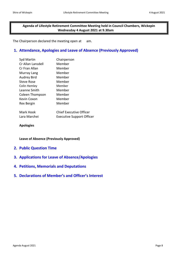# **Agenda of Lifestyle Retirement Committee Meeting held in Council Chambers, Wickepin Wednesday 4 August 2021 at 9.30am**

The Chairperson declared the meeting open at am.

# <span id="page-7-0"></span>**1. Attendance, Apologies and Leave of Absence (Previously Approved)**

| Syd Martin         | Chairperson             |
|--------------------|-------------------------|
| Cr Allan Lansdell  | Member                  |
| Cr Fran Allan      | Member                  |
| Murray Lang        | Member                  |
| <b>Audrey Bird</b> | Member                  |
| Steve Rose         | Member                  |
| Colin Hemley       | Member                  |
| Leanne Smith       | Member                  |
| Coleen Thompson    | Member                  |
| Kevin Coxon        | Member                  |
| Rex Bergin         | Member                  |
|                    |                         |
| Mark Hook          | Chief Executive Officer |

| -iviark Hook | Chief Executive Officer          |
|--------------|----------------------------------|
| Lara Marchei | <b>Executive Support Officer</b> |

**Apologies**

**Leave of Absence (Previously Approved)**

- <span id="page-7-1"></span>**2. Public Question Time**
- <span id="page-7-2"></span>**3. Applications for Leave of Absence/Apologies**
- <span id="page-7-3"></span>**4. Petitions, Memorials and Deputations**
- <span id="page-7-4"></span>**5. Declarations of Member's and Officer's Interest**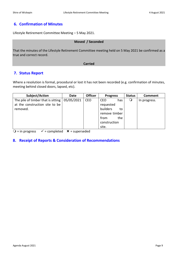# <span id="page-8-0"></span>**6. Confirmation of Minutes**

Lifestyle Retirement Committee Meeting – 5 May 2021.

# **Moved / Seconded**

That the minutes of the Lifestyle Retirement Committee meeting held on 5 May 2021 be confirmed as a true and correct record.

#### **Carried**

# <span id="page-8-1"></span>**7. Status Report**

Where a resolution is formal, procedural or lost it has not been recorded (e.g. confirmation of minutes, meeting behind closed doors, lapsed, etc).

| Subject/Action                     | Date       | <b>Officer</b> | <b>Progress</b>   | <b>Status</b> | Comment      |
|------------------------------------|------------|----------------|-------------------|---------------|--------------|
| The pile of timber that is sitting | 05/05/2021 | <b>CEO</b>     | <b>CEO</b><br>has | $\circ$       | In progress. |
| at the construction site to be     |            |                | requested         |               |              |
| removed.                           |            |                | builders<br>to    |               |              |
|                                    |            |                | remove timber     |               |              |
|                                    |            |                | the<br>from       |               |              |
|                                    |            |                | construction      |               |              |
|                                    |            |                | site.             |               |              |

 $Q =$  in progress  $\checkmark$  = completed  $\checkmark$  = superseded

# <span id="page-8-2"></span>**8. Receipt of Reports & Consideration of Recommendations**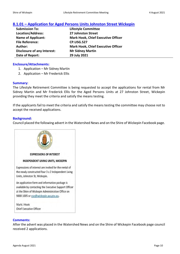# <span id="page-9-0"></span>**8.1.01 – Application for Aged Persons Units Johnston Street Wickepin**

| <b>Submission To:</b>              | <b>Lifestyle Committee</b>                |
|------------------------------------|-------------------------------------------|
| <b>Location/Address:</b>           | <b>27 Johnston Street</b>                 |
| <b>Name of Applicant:</b>          | <b>Mark Hook, Chief Executive Officer</b> |
| <b>File Reference:</b>             | <b>CP.USG.527</b>                         |
| Author:                            | <b>Mark Hook, Chief Executive Officer</b> |
| <b>Disclosure of any Interest:</b> | <b>Mr Sidney Martin</b>                   |
| Date of Report:                    | 29 July 2021                              |

#### **Enclosure/Attachments:**

- 1. Application Mr Sidney Martin
- 2. Application Mr Frederick Ellis

#### **Summary:**

The Lifestyle Retirement Committee is being requested to accept the applications for rental from Mr Sidney Martin and Mr Frederick Ellis for the Aged Persons Units at 27 Johnston Street, Wickepin providing they meet the criteria and satisfy the means testing.

If the applicants fail to meet the criteria and satisfy the means testing the committee may choose not to accept the received applications.

#### **Background:**

Council placed the following advert in the Watershed News and on the Shire of Wickepin Facebook page.



## **Comments:**

After the advert was placed in the Watershed News and on the Shire of Wickepin Facebook page council received 2 applications.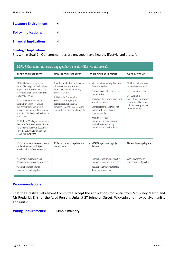| <b>Statutory Environment:</b>  | Nil |
|--------------------------------|-----|
| <b>Policy Implications:</b>    | Nil |
| <b>Financial Implications:</b> | Nil |

#### **Strategic Implications:**

Fits within Goal 9 - Our communities are engaged, have healthy lifestyle and are safe.

| GOAL 9: Our communities are engaged, have a healthy lifestyle and are safe                                                                                                                                                                                                                                                                                                                                                                                                                                                                      |                                                                                                                                                                                                                                                                                    |                                                                                                                                                                                                                                                                                                                                                                              |                                                                                                                                                                                           |  |  |
|-------------------------------------------------------------------------------------------------------------------------------------------------------------------------------------------------------------------------------------------------------------------------------------------------------------------------------------------------------------------------------------------------------------------------------------------------------------------------------------------------------------------------------------------------|------------------------------------------------------------------------------------------------------------------------------------------------------------------------------------------------------------------------------------------------------------------------------------|------------------------------------------------------------------------------------------------------------------------------------------------------------------------------------------------------------------------------------------------------------------------------------------------------------------------------------------------------------------------------|-------------------------------------------------------------------------------------------------------------------------------------------------------------------------------------------|--|--|
| <b>SHORT TERM STRATEGY</b>                                                                                                                                                                                                                                                                                                                                                                                                                                                                                                                      | <b>MEDIUM TERM STRATEGY</b>                                                                                                                                                                                                                                                        | <b>POINT OF MEASUREMENT</b>                                                                                                                                                                                                                                                                                                                                                  | <b>10 YR OUTCOME</b>                                                                                                                                                                      |  |  |
| 9.1 Facilitate a meeting in the<br>Shire of Wickepin of the local and<br>regional health, social and crime<br>prevention agencies to raise drug<br>and alcohol issues<br>9.2 Meet with the Wickepin<br>Community Resource Centre to<br>identify common community<br>priorities including but not limited<br>to youth activities as well as forward<br>plan events<br>9.3 With the Wickepin Community<br>Resource Centre target activities at<br>early years, primary and secondary<br>students particularly during the<br>school holiday period | 9.4 Advocate for the continuation<br>of State Government support<br>for the Wickepin Community<br><b>Resource Centre</b><br>9.5 With the Community<br>Resource Centre, help to<br>communicate and action<br>progress association / organising<br>committee priorities and projects | - Wickepin Community Resource<br>Centre is retained<br>- Positive social behaviour in our<br>communities<br>- Improved offering and frequency<br>of youth activities<br>- Events across the Shire do not<br>conflict with other local or<br>regional events<br>- Amount of formal<br>communication with progress<br>associations / organising<br>committees across the Shire | Children and youth are<br>retained and engaged<br>Our community is safe<br>Our community<br>understands the impact<br>of anti-social behaviour<br>both personally and on<br>the community |  |  |
| 9.6 Continue to advocate and prepare<br>for the Wheatbelt South Aged<br>Housing Alliance (WSAHA) project                                                                                                                                                                                                                                                                                                                                                                                                                                        | 9.7 Seniors are encouraged and able<br>to age in place                                                                                                                                                                                                                             | - WSAHA aged housing project is<br>delivered                                                                                                                                                                                                                                                                                                                                 | The elderly can age in place                                                                                                                                                              |  |  |
| 9.8 Continue to provide a high<br>standard waste management service<br>9.9 Continue to educate the<br>community about recycling                                                                                                                                                                                                                                                                                                                                                                                                                 |                                                                                                                                                                                                                                                                                    | - Number of positive and negative<br>comments about waste services<br>- Recycling increases across the<br>Shire (tonnes increase)                                                                                                                                                                                                                                            | Waste management<br>practices are best practice                                                                                                                                           |  |  |

# **Recommendations:**

That the Lifestyle Retirement Committee accept the applications for rental from Mr Sidney Martin and Mr Frederick Ellis for the Aged Persons Units at 27 Johnston Street, Wickepin and they be given unit 1 and unit 2.

**Voting Requirements:** Simple majority.